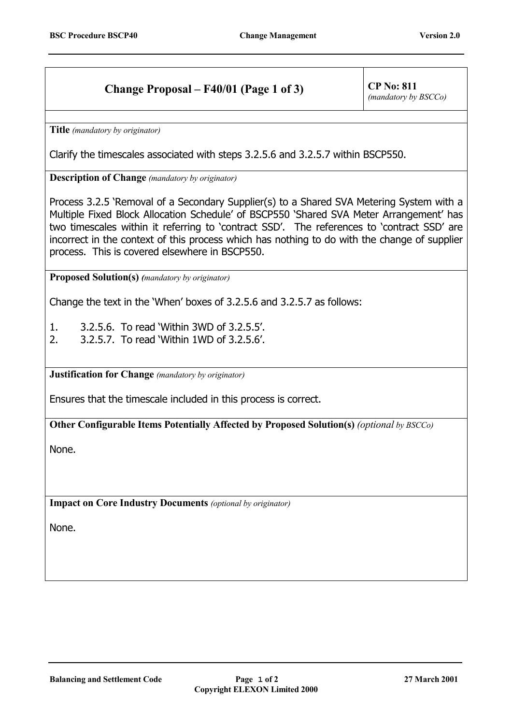## **Change Proposal – F40/01 (Page 1 of 3)** CP No: 811

*(mandatory by BSCCo)*

**Title** *(mandatory by originator)*

Clarify the timescales associated with steps 3.2.5.6 and 3.2.5.7 within BSCP550.

**Description of Change** *(mandatory by originator)*

Process 3.2.5 'Removal of a Secondary Supplier(s) to a Shared SVA Metering System with a Multiple Fixed Block Allocation Schedule' of BSCP550 'Shared SVA Meter Arrangement' has two timescales within it referring to 'contract SSD'. The references to 'contract SSD' are incorrect in the context of this process which has nothing to do with the change of supplier process. This is covered elsewhere in BSCP550.

**Proposed Solution(s)** *(mandatory by originator)*

Change the text in the 'When' boxes of 3.2.5.6 and 3.2.5.7 as follows:

1. 3.2.5.6. To read 'Within 3WD of 3.2.5.5'.

2. 3.2.5.7. To read 'Within 1WD of 3.2.5.6'.

**Justification for Change** *(mandatory by originator)*

Ensures that the timescale included in this process is correct.

**Other Configurable Items Potentially Affected by Proposed Solution(s)** *(optional by BSCCo)*

None.

**Impact on Core Industry Documents** *(optional by originator)*

None.